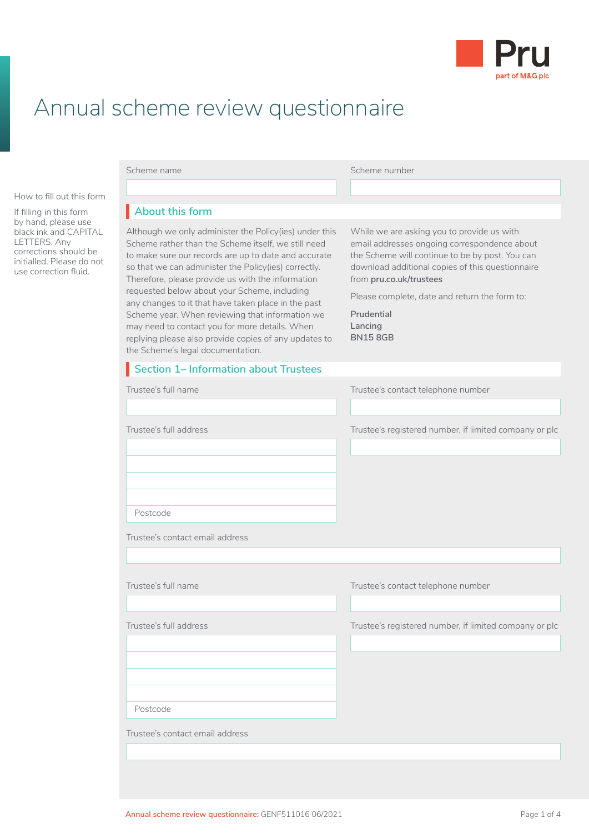

## Annual scheme review questionnaire

How to fill out this form

If filling in this form by hand, please use black ink and CAPITAL LETTERS. Any corrections should be initialled. Please do not use correction fluid.

| Scheme name                                                                                                                                                                                                                                                                                                                                                                                                                                                                                                                                                                                  | Scheme number                                                                                                                                                                                                                                                                                                            |
|----------------------------------------------------------------------------------------------------------------------------------------------------------------------------------------------------------------------------------------------------------------------------------------------------------------------------------------------------------------------------------------------------------------------------------------------------------------------------------------------------------------------------------------------------------------------------------------------|--------------------------------------------------------------------------------------------------------------------------------------------------------------------------------------------------------------------------------------------------------------------------------------------------------------------------|
|                                                                                                                                                                                                                                                                                                                                                                                                                                                                                                                                                                                              |                                                                                                                                                                                                                                                                                                                          |
| About this form                                                                                                                                                                                                                                                                                                                                                                                                                                                                                                                                                                              |                                                                                                                                                                                                                                                                                                                          |
| Although we only administer the Policy(ies) under this<br>Scheme rather than the Scheme itself, we still need<br>to make sure our records are up to date and accurate<br>so that we can administer the Policy(ies) correctly.<br>Therefore, please provide us with the information<br>requested below about your Scheme, including<br>any changes to it that have taken place in the past<br>Scheme year. When reviewing that information we<br>may need to contact you for more details. When<br>replying please also provide copies of any updates to<br>the Scheme's legal documentation. | While we are asking you to provide us with<br>email addresses ongoing correspondence about<br>the Scheme will continue to be by post. You can<br>download additional copies of this questionnaire<br>from pru.co.uk/trustees<br>Please complete, date and return the form to:<br>Prudential<br>Lancing<br><b>BN158GB</b> |
| Section 1- Information about Trustees                                                                                                                                                                                                                                                                                                                                                                                                                                                                                                                                                        |                                                                                                                                                                                                                                                                                                                          |
| Trustee's full name                                                                                                                                                                                                                                                                                                                                                                                                                                                                                                                                                                          | Trustee's contact telephone number                                                                                                                                                                                                                                                                                       |
|                                                                                                                                                                                                                                                                                                                                                                                                                                                                                                                                                                                              |                                                                                                                                                                                                                                                                                                                          |
| Trustee's full address                                                                                                                                                                                                                                                                                                                                                                                                                                                                                                                                                                       | Trustee's registered number, if limited company or plc                                                                                                                                                                                                                                                                   |
| Postcode<br>Trustee's contact email address                                                                                                                                                                                                                                                                                                                                                                                                                                                                                                                                                  |                                                                                                                                                                                                                                                                                                                          |
|                                                                                                                                                                                                                                                                                                                                                                                                                                                                                                                                                                                              |                                                                                                                                                                                                                                                                                                                          |
| Trustee's full name                                                                                                                                                                                                                                                                                                                                                                                                                                                                                                                                                                          | Trustee's contact telephone number                                                                                                                                                                                                                                                                                       |
| Trustee's full address                                                                                                                                                                                                                                                                                                                                                                                                                                                                                                                                                                       | Trustee's registered number, if limited company or plc                                                                                                                                                                                                                                                                   |
| Postcode                                                                                                                                                                                                                                                                                                                                                                                                                                                                                                                                                                                     |                                                                                                                                                                                                                                                                                                                          |
|                                                                                                                                                                                                                                                                                                                                                                                                                                                                                                                                                                                              |                                                                                                                                                                                                                                                                                                                          |
| Trustee's contact email address                                                                                                                                                                                                                                                                                                                                                                                                                                                                                                                                                              |                                                                                                                                                                                                                                                                                                                          |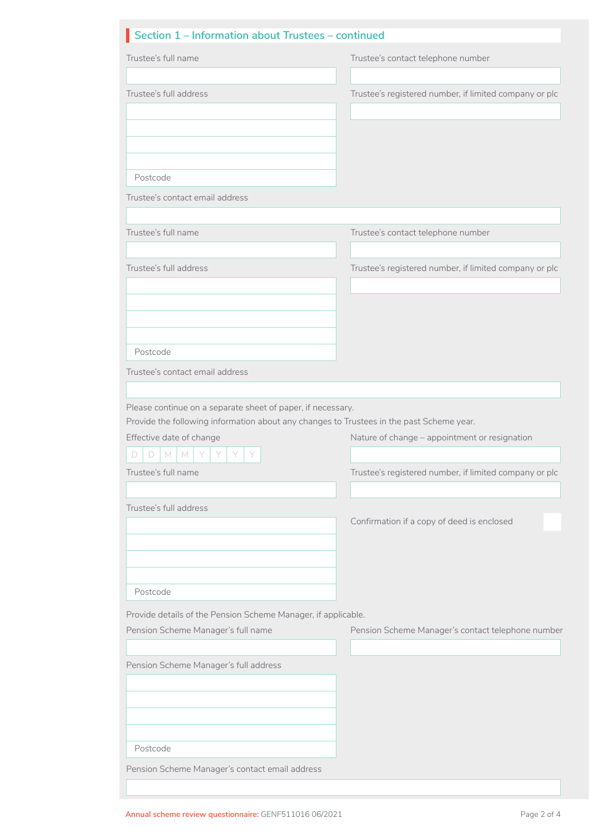| Section 1 – Information about Trustees – continued |
|----------------------------------------------------|
|                                                    |

| Trustee's full name                                                                                                  | Trustee's contact telephone number                     |
|----------------------------------------------------------------------------------------------------------------------|--------------------------------------------------------|
| Trustee's full address                                                                                               | Trustee's registered number, if limited company or plc |
|                                                                                                                      |                                                        |
|                                                                                                                      |                                                        |
|                                                                                                                      |                                                        |
| Postcode                                                                                                             |                                                        |
| Trustee's contact email address                                                                                      |                                                        |
| Trustee's full name                                                                                                  | Trustee's contact telephone number                     |
| Trustee's full address                                                                                               | Trustee's registered number, if limited company or plc |
|                                                                                                                      |                                                        |
|                                                                                                                      |                                                        |
|                                                                                                                      |                                                        |
| Postcode                                                                                                             |                                                        |
| Trustee's contact email address                                                                                      |                                                        |
| Please continue on a separate sheet of paper, if necessary.                                                          |                                                        |
| Provide the following information about any changes to Trustees in the past Scheme year.<br>Effective date of change | Nature of change - appointment or resignation          |
| D<br>M<br>M                                                                                                          |                                                        |
| Trustee's full name                                                                                                  | Trustee's registered number, if limited company or plc |
|                                                                                                                      |                                                        |
| Trustee's full address                                                                                               | Confirmation if a copy of deed is enclosed             |
|                                                                                                                      |                                                        |
|                                                                                                                      |                                                        |
| Postcode                                                                                                             |                                                        |
| Provide details of the Pension Scheme Manager, if applicable.                                                        |                                                        |
| Pension Scheme Manager's full name                                                                                   | Pension Scheme Manager's contact telephone number      |
| Pension Scheme Manager's full address                                                                                |                                                        |
|                                                                                                                      |                                                        |
|                                                                                                                      |                                                        |
|                                                                                                                      |                                                        |
| Postcode                                                                                                             |                                                        |
| Pension Scheme Manager's contact email address                                                                       |                                                        |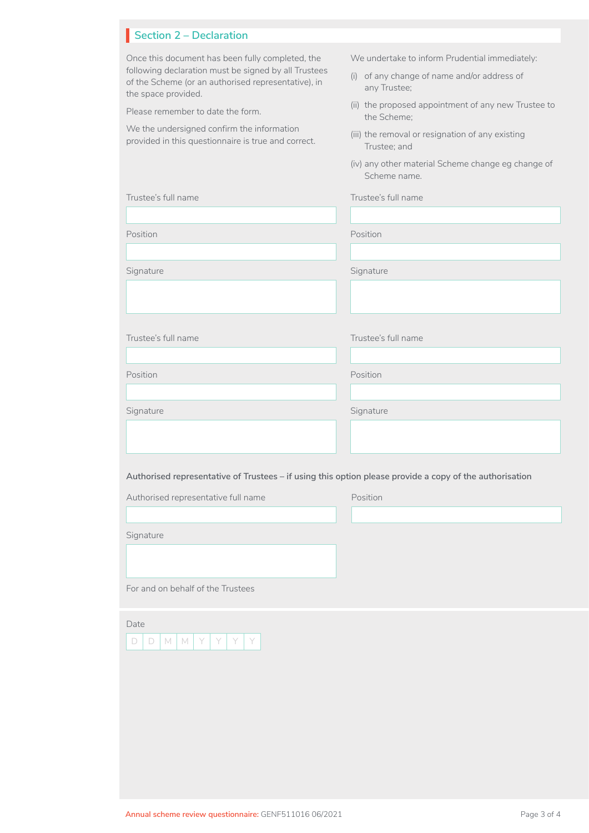## **Section 2 – Declaration**

| Once this document has been fully completed, the<br>following declaration must be signed by all Trustees<br>of the Scheme (or an authorised representative), in<br>the space provided.<br>Please remember to date the form.<br>We the undersigned confirm the information<br>provided in this questionnaire is true and correct. | We undertake to inform Prudential immediately:<br>(i) of any change of name and/or address of<br>any Trustee;<br>(ii) the proposed appointment of any new Trustee to<br>the Scheme;<br>(iii) the removal or resignation of any existing<br>Trustee; and<br>(iv) any other material Scheme change eg change of<br>Scheme name. |
|----------------------------------------------------------------------------------------------------------------------------------------------------------------------------------------------------------------------------------------------------------------------------------------------------------------------------------|-------------------------------------------------------------------------------------------------------------------------------------------------------------------------------------------------------------------------------------------------------------------------------------------------------------------------------|
| Trustee's full name                                                                                                                                                                                                                                                                                                              | Trustee's full name                                                                                                                                                                                                                                                                                                           |
|                                                                                                                                                                                                                                                                                                                                  |                                                                                                                                                                                                                                                                                                                               |
| Position                                                                                                                                                                                                                                                                                                                         | Position                                                                                                                                                                                                                                                                                                                      |
| Signature                                                                                                                                                                                                                                                                                                                        | Signature                                                                                                                                                                                                                                                                                                                     |
|                                                                                                                                                                                                                                                                                                                                  |                                                                                                                                                                                                                                                                                                                               |
|                                                                                                                                                                                                                                                                                                                                  |                                                                                                                                                                                                                                                                                                                               |
| Trustee's full name                                                                                                                                                                                                                                                                                                              | Trustee's full name                                                                                                                                                                                                                                                                                                           |
| Position                                                                                                                                                                                                                                                                                                                         | Position                                                                                                                                                                                                                                                                                                                      |
|                                                                                                                                                                                                                                                                                                                                  |                                                                                                                                                                                                                                                                                                                               |
| Signature                                                                                                                                                                                                                                                                                                                        | Signature                                                                                                                                                                                                                                                                                                                     |
|                                                                                                                                                                                                                                                                                                                                  |                                                                                                                                                                                                                                                                                                                               |
|                                                                                                                                                                                                                                                                                                                                  |                                                                                                                                                                                                                                                                                                                               |
| Authorised representative of Trustees - if using this option please provide a copy of the authorisation                                                                                                                                                                                                                          |                                                                                                                                                                                                                                                                                                                               |
| Authorised representative full name                                                                                                                                                                                                                                                                                              | Position                                                                                                                                                                                                                                                                                                                      |
|                                                                                                                                                                                                                                                                                                                                  |                                                                                                                                                                                                                                                                                                                               |
| Signature                                                                                                                                                                                                                                                                                                                        |                                                                                                                                                                                                                                                                                                                               |
|                                                                                                                                                                                                                                                                                                                                  |                                                                                                                                                                                                                                                                                                                               |
| For and on behalf of the Trustees                                                                                                                                                                                                                                                                                                |                                                                                                                                                                                                                                                                                                                               |
| Date<br>$\Box$<br>M<br>Y<br>Y<br>Y<br>Y<br>D<br>M                                                                                                                                                                                                                                                                                |                                                                                                                                                                                                                                                                                                                               |